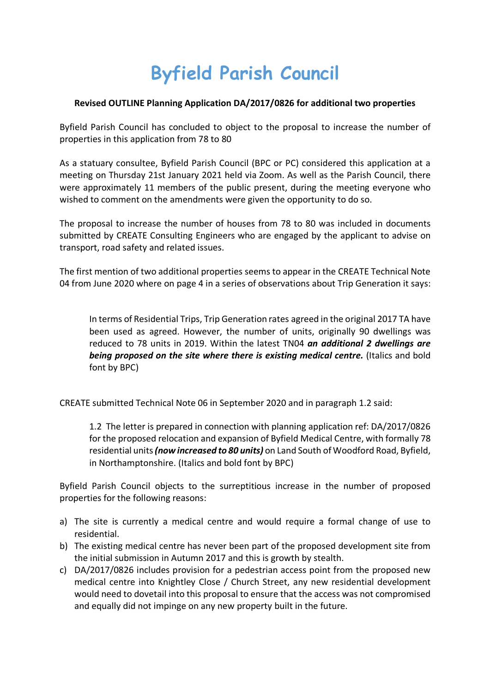## **Byfield Parish Council**

## **Revised OUTLINE Planning Application DA/2017/0826 for additional two properties**

Byfield Parish Council has concluded to object to the proposal to increase the number of properties in this application from 78 to 80

As a statuary consultee, Byfield Parish Council (BPC or PC) considered this application at a meeting on Thursday 21st January 2021 held via Zoom. As well as the Parish Council, there were approximately 11 members of the public present, during the meeting everyone who wished to comment on the amendments were given the opportunity to do so.

The proposal to increase the number of houses from 78 to 80 was included in documents submitted by CREATE Consulting Engineers who are engaged by the applicant to advise on transport, road safety and related issues.

The first mention of two additional properties seems to appear in the CREATE Technical Note 04 from June 2020 where on page 4 in a series of observations about Trip Generation it says:

In terms of Residential Trips, Trip Generation rates agreed in the original 2017 TA have been used as agreed. However, the number of units, originally 90 dwellings was reduced to 78 units in 2019. Within the latest TN04 *an additional 2 dwellings are*  **being proposed on the site where there is existing medical centre.** (Italics and bold font by BPC)

CREATE submitted Technical Note 06 in September 2020 and in paragraph 1.2 said:

1.2 The letter is prepared in connection with planning application ref: DA/2017/0826 for the proposed relocation and expansion of Byfield Medical Centre, with formally 78 residential units *(now increased to 80 units)* on Land South of Woodford Road, Byfield, in Northamptonshire. (Italics and bold font by BPC)

Byfield Parish Council objects to the surreptitious increase in the number of proposed properties for the following reasons:

- a) The site is currently a medical centre and would require a formal change of use to residential.
- b) The existing medical centre has never been part of the proposed development site from the initial submission in Autumn 2017 and this is growth by stealth.
- c) DA/2017/0826 includes provision for a pedestrian access point from the proposed new medical centre into Knightley Close / Church Street, any new residential development would need to dovetail into this proposal to ensure that the access was not compromised and equally did not impinge on any new property built in the future.